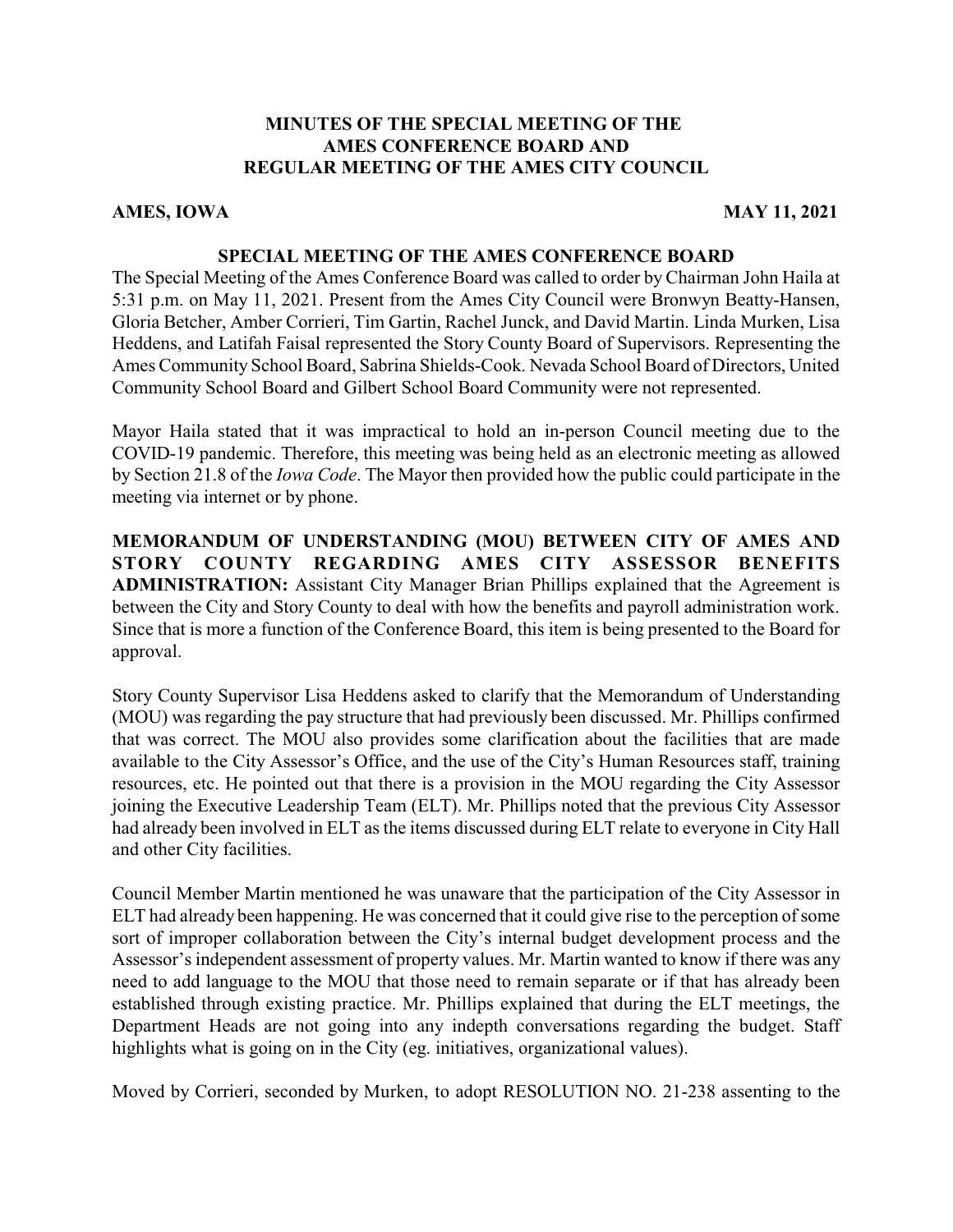# **MINUTES OF THE SPECIAL MEETING OF THE AMES CONFERENCE BOARD AND REGULAR MEETING OF THE AMES CITY COUNCIL**

## **AMES, IOWA** MAY 11, 2021

### **SPECIAL MEETING OF THE AMES CONFERENCE BOARD**

The Special Meeting of the Ames Conference Board was called to order by Chairman John Haila at 5:31 p.m. on May 11, 2021. Present from the Ames City Council were Bronwyn Beatty-Hansen, Gloria Betcher, Amber Corrieri, Tim Gartin, Rachel Junck, and David Martin. Linda Murken, Lisa Heddens, and Latifah Faisal represented the Story County Board of Supervisors. Representing the Ames Community School Board, Sabrina Shields-Cook. Nevada School Board of Directors, United Community School Board and Gilbert School Board Community were not represented.

Mayor Haila stated that it was impractical to hold an in-person Council meeting due to the COVID-19 pandemic. Therefore, this meeting was being held as an electronic meeting as allowed by Section 21.8 of the *Iowa Code*. The Mayor then provided how the public could participate in the meeting via internet or by phone.

**MEMORANDUM OF UNDERSTANDING (MOU) BETWEEN CITY OF AMES AND STORY COUNTY REGARDING AMES CITY ASSESSOR BENEFITS ADMINISTRATION:** Assistant City Manager Brian Phillips explained that the Agreement is between the City and Story County to deal with how the benefits and payroll administration work. Since that is more a function of the Conference Board, this item is being presented to the Board for approval.

Story County Supervisor Lisa Heddens asked to clarify that the Memorandum of Understanding (MOU) was regarding the pay structure that had previously been discussed. Mr. Phillips confirmed that was correct. The MOU also provides some clarification about the facilities that are made available to the City Assessor's Office, and the use of the City's Human Resources staff, training resources, etc. He pointed out that there is a provision in the MOU regarding the City Assessor joining the Executive Leadership Team (ELT). Mr. Phillips noted that the previous City Assessor had already been involved in ELT as the items discussed during ELT relate to everyone in City Hall and other City facilities.

Council Member Martin mentioned he was unaware that the participation of the City Assessor in ELT had already been happening. He was concerned that it could give rise to the perception of some sort of improper collaboration between the City's internal budget development process and the Assessor's independent assessment of property values. Mr. Martin wanted to know if there was any need to add language to the MOU that those need to remain separate or if that has already been established through existing practice. Mr. Phillips explained that during the ELT meetings, the Department Heads are not going into any indepth conversations regarding the budget. Staff highlights what is going on in the City (eg. initiatives, organizational values).

Moved by Corrieri, seconded by Murken, to adopt RESOLUTION NO. 21-238 assenting to the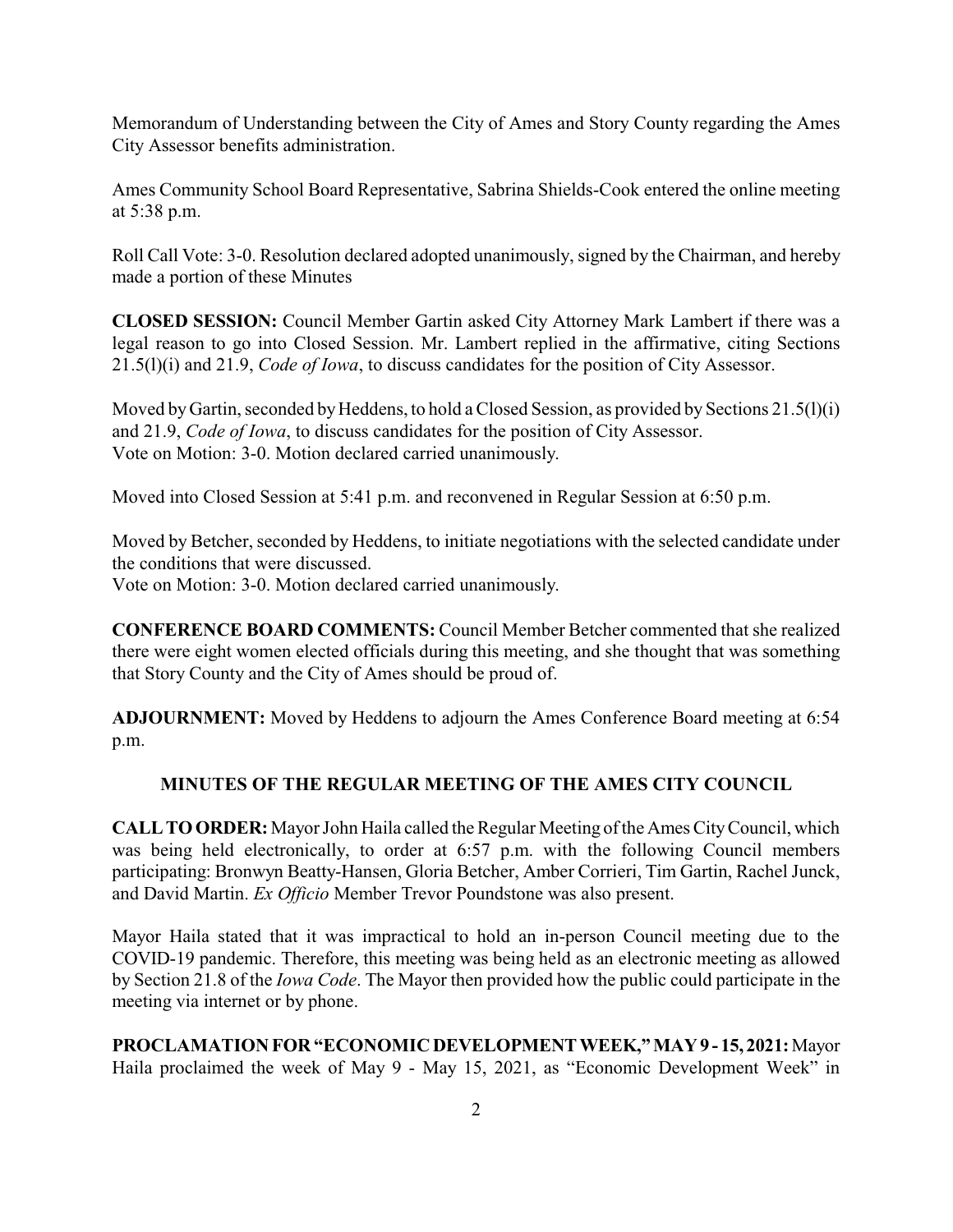Memorandum of Understanding between the City of Ames and Story County regarding the Ames City Assessor benefits administration.

Ames Community School Board Representative, Sabrina Shields-Cook entered the online meeting at 5:38 p.m.

Roll Call Vote: 3-0. Resolution declared adopted unanimously, signed by the Chairman, and hereby made a portion of these Minutes

**CLOSED SESSION:** Council Member Gartin asked City Attorney Mark Lambert if there was a legal reason to go into Closed Session. Mr. Lambert replied in the affirmative, citing Sections 21.5(l)(i) and 21.9, *Code of Iowa*, to discuss candidates for the position of City Assessor.

Moved by Gartin, seconded by Heddens, to hold a Closed Session, as provided by Sections 21.5(l)(i) and 21.9, *Code of Iowa*, to discuss candidates for the position of City Assessor. Vote on Motion: 3-0. Motion declared carried unanimously.

Moved into Closed Session at 5:41 p.m. and reconvened in Regular Session at 6:50 p.m.

Moved by Betcher, seconded by Heddens, to initiate negotiations with the selected candidate under the conditions that were discussed.

Vote on Motion: 3-0. Motion declared carried unanimously.

**CONFERENCE BOARD COMMENTS:** Council Member Betcher commented that she realized there were eight women elected officials during this meeting, and she thought that was something that Story County and the City of Ames should be proud of.

**ADJOURNMENT:** Moved by Heddens to adjourn the Ames Conference Board meeting at 6:54 p.m.

# **MINUTES OF THE REGULAR MEETING OF THE AMES CITY COUNCIL**

**CALLTOORDER:**Mayor John Haila called the Regular Meeting ofthe Ames CityCouncil, which was being held electronically, to order at 6:57 p.m. with the following Council members participating: Bronwyn Beatty-Hansen, Gloria Betcher, Amber Corrieri, Tim Gartin, Rachel Junck, and David Martin. *Ex Officio* Member Trevor Poundstone was also present.

Mayor Haila stated that it was impractical to hold an in-person Council meeting due to the COVID-19 pandemic. Therefore, this meeting was being held as an electronic meeting as allowed by Section 21.8 of the *Iowa Code*. The Mayor then provided how the public could participate in the meeting via internet or by phone.

**PROCLAMATION FOR "ECONOMIC DEVELOPMENTWEEK,"MAY9 - 15, 2021:**Mayor Haila proclaimed the week of May 9 - May 15, 2021, as "Economic Development Week" in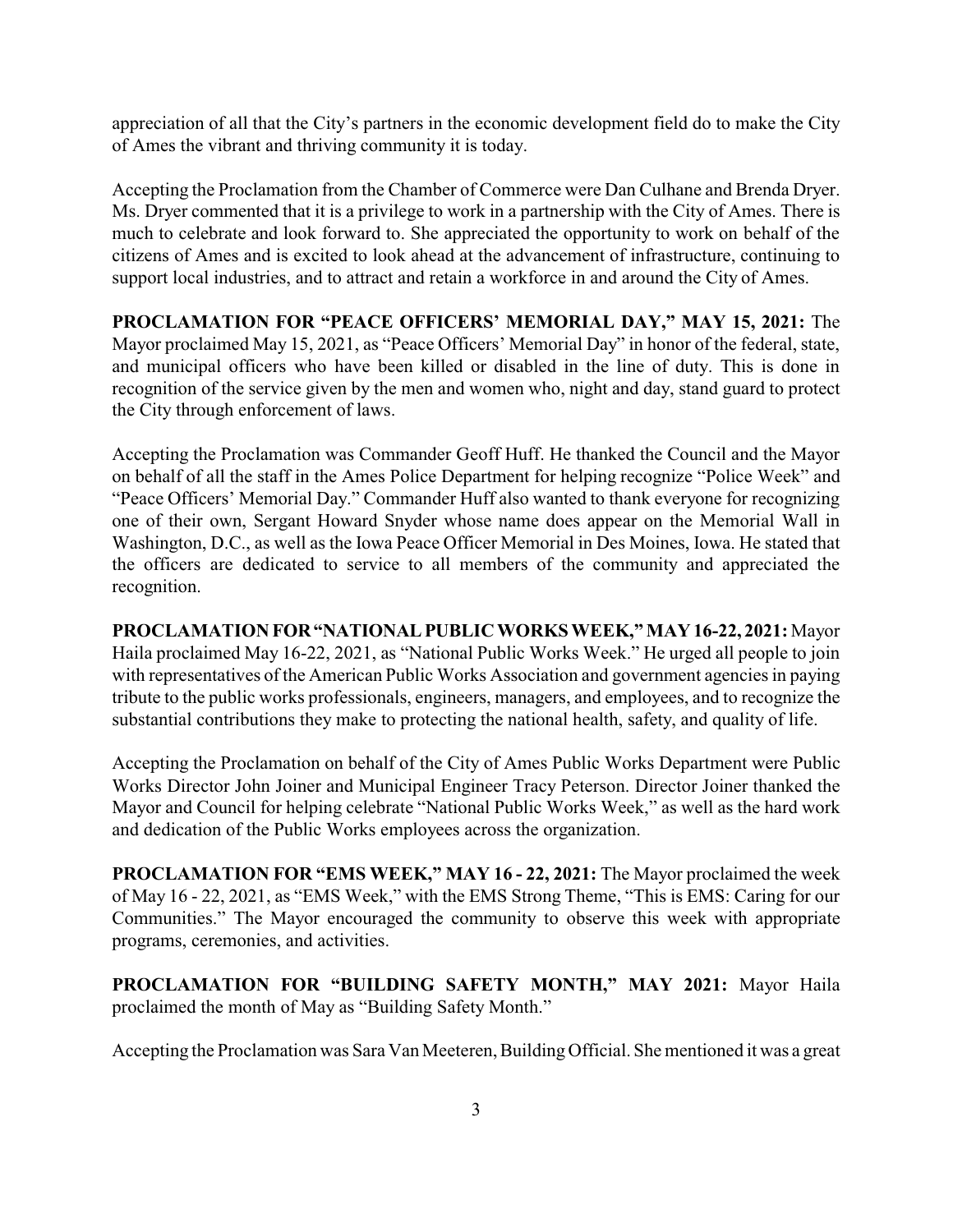appreciation of all that the City's partners in the economic development field do to make the City of Ames the vibrant and thriving community it is today.

Accepting the Proclamation from the Chamber of Commerce were Dan Culhane and Brenda Dryer. Ms. Dryer commented that it is a privilege to work in a partnership with the City of Ames. There is much to celebrate and look forward to. She appreciated the opportunity to work on behalf of the citizens of Ames and is excited to look ahead at the advancement of infrastructure, continuing to support local industries, and to attract and retain a workforce in and around the City of Ames.

**PROCLAMATION FOR "PEACE OFFICERS' MEMORIAL DAY," MAY 15, 2021:** The Mayor proclaimed May 15, 2021, as "Peace Officers' Memorial Day" in honor of the federal, state, and municipal officers who have been killed or disabled in the line of duty. This is done in recognition of the service given by the men and women who, night and day, stand guard to protect the City through enforcement of laws.

Accepting the Proclamation was Commander Geoff Huff. He thanked the Council and the Mayor on behalf of all the staff in the Ames Police Department for helping recognize "Police Week" and "Peace Officers' Memorial Day." Commander Huff also wanted to thank everyone for recognizing one of their own, Sergant Howard Snyder whose name does appear on the Memorial Wall in Washington, D.C., as well as the Iowa Peace Officer Memorial in Des Moines, Iowa. He stated that the officers are dedicated to service to all members of the community and appreciated the recognition.

**PROCLAMATION FOR"NATIONALPUBLIC WORKS WEEK," MAY 16-22, 2021:**Mayor Haila proclaimed May 16-22, 2021, as "National Public Works Week." He urged all people to join with representatives of the American Public Works Association and government agencies in paying tribute to the public works professionals, engineers, managers, and employees, and to recognize the substantial contributions they make to protecting the national health, safety, and quality of life.

Accepting the Proclamation on behalf of the City of Ames Public Works Department were Public Works Director John Joiner and Municipal Engineer Tracy Peterson. Director Joiner thanked the Mayor and Council for helping celebrate "National Public Works Week," as well as the hard work and dedication of the Public Works employees across the organization.

**PROCLAMATION FOR "EMS WEEK," MAY 16 - 22, 2021:** The Mayor proclaimed the week of May 16 - 22, 2021, as "EMS Week," with the EMS Strong Theme, "This is EMS: Caring for our Communities." The Mayor encouraged the community to observe this week with appropriate programs, ceremonies, and activities.

**PROCLAMATION FOR "BUILDING SAFETY MONTH," MAY 2021:** Mayor Haila proclaimed the month of May as "Building Safety Month."

Accepting the Proclamation was Sara Van Meeteren, Building Official. She mentioned it was a great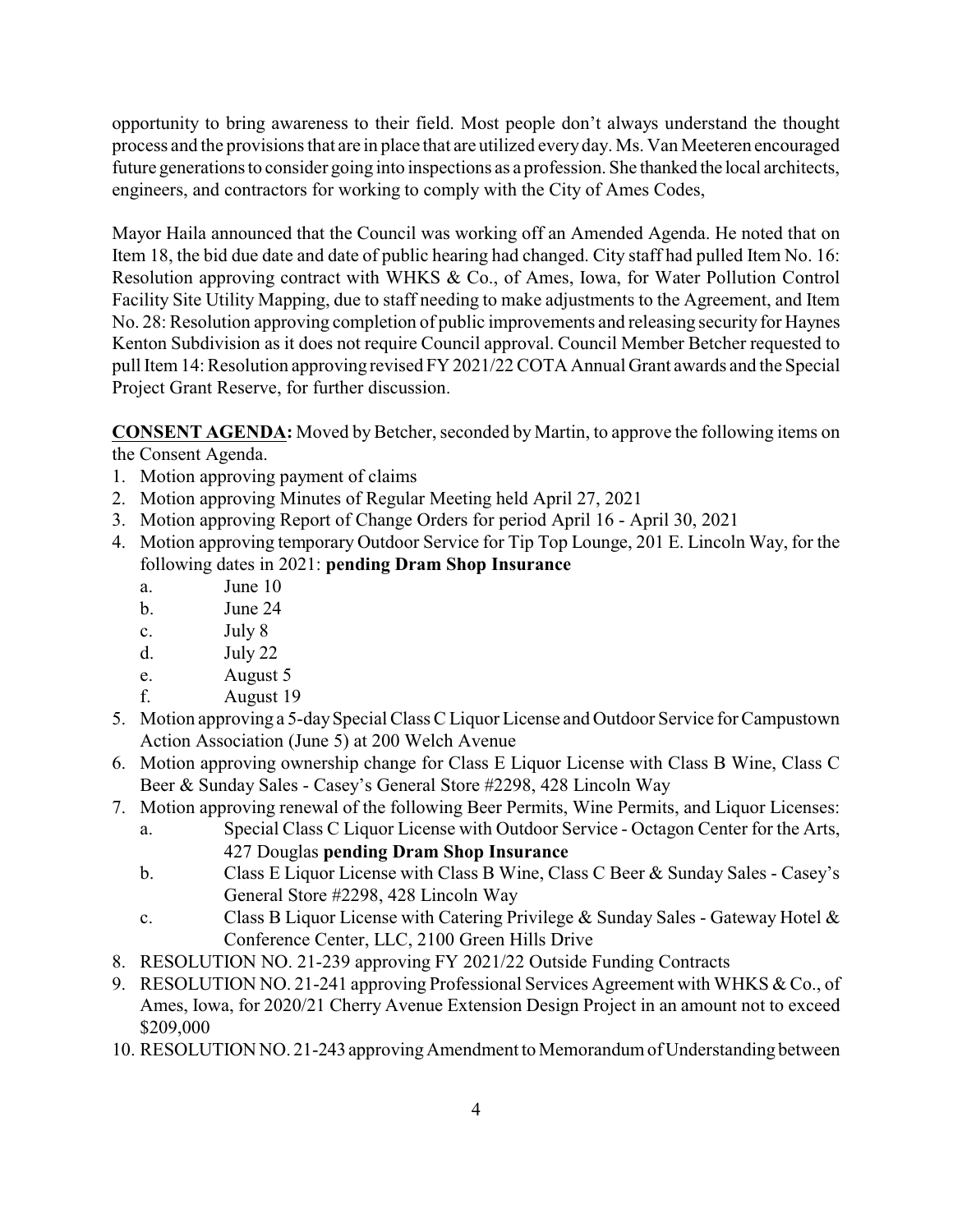opportunity to bring awareness to their field. Most people don't always understand the thought process and the provisions that are in place that are utilized everyday. Ms. Van Meeteren encouraged future generations to consider going into inspections as a profession. She thanked the local architects, engineers, and contractors for working to comply with the City of Ames Codes,

Mayor Haila announced that the Council was working off an Amended Agenda. He noted that on Item 18, the bid due date and date of public hearing had changed. City staff had pulled Item No. 16: Resolution approving contract with WHKS & Co., of Ames, Iowa, for Water Pollution Control Facility Site Utility Mapping, due to staff needing to make adjustments to the Agreement, and Item No. 28: Resolution approving completion of public improvements and releasing security for Haynes Kenton Subdivision as it does not require Council approval. Council Member Betcher requested to pull Item 14: Resolution approving revised FY 2021/22 COTA Annual Grant awards and the Special Project Grant Reserve, for further discussion.

**CONSENT AGENDA:** Moved by Betcher, seconded by Martin, to approve the following items on the Consent Agenda.

- 1. Motion approving payment of claims
- 2. Motion approving Minutes of Regular Meeting held April 27, 2021
- 3. Motion approving Report of Change Orders for period April 16 April 30, 2021
- 4. Motion approving temporary Outdoor Service for Tip Top Lounge, 201 E. Lincoln Way, for the following dates in 2021: **pending Dram Shop Insurance** 
	- a. June 10
	- b. June 24
	- c. July 8
	- d. July 22
	- e. August 5
	- f. August 19
- 5. Motion approving a 5-daySpecial Class C Liquor License and Outdoor Service for Campustown Action Association (June 5) at 200 Welch Avenue
- 6. Motion approving ownership change for Class E Liquor License with Class B Wine, Class C Beer & Sunday Sales - Casey's General Store #2298, 428 Lincoln Way
- 7. Motion approving renewal of the following Beer Permits, Wine Permits, and Liquor Licenses:
	- a. Special Class C Liquor License with Outdoor Service Octagon Center for the Arts, 427 Douglas **pending Dram Shop Insurance**
	- b. Class E Liquor License with Class B Wine, Class C Beer & Sunday Sales Casey's General Store #2298, 428 Lincoln Way
	- c. Class B Liquor License with Catering Privilege & Sunday Sales Gateway Hotel  $\&$ Conference Center, LLC, 2100 Green Hills Drive
- 8. RESOLUTION NO. 21-239 approving FY 2021/22 Outside Funding Contracts
- 9. RESOLUTION NO. 21-241 approving Professional Services Agreement with WHKS & Co., of Ames, Iowa, for 2020/21 Cherry Avenue Extension Design Project in an amount not to exceed \$209,000
- 10. RESOLUTION NO. 21-243 approvingAmendment to Memorandum of Understanding between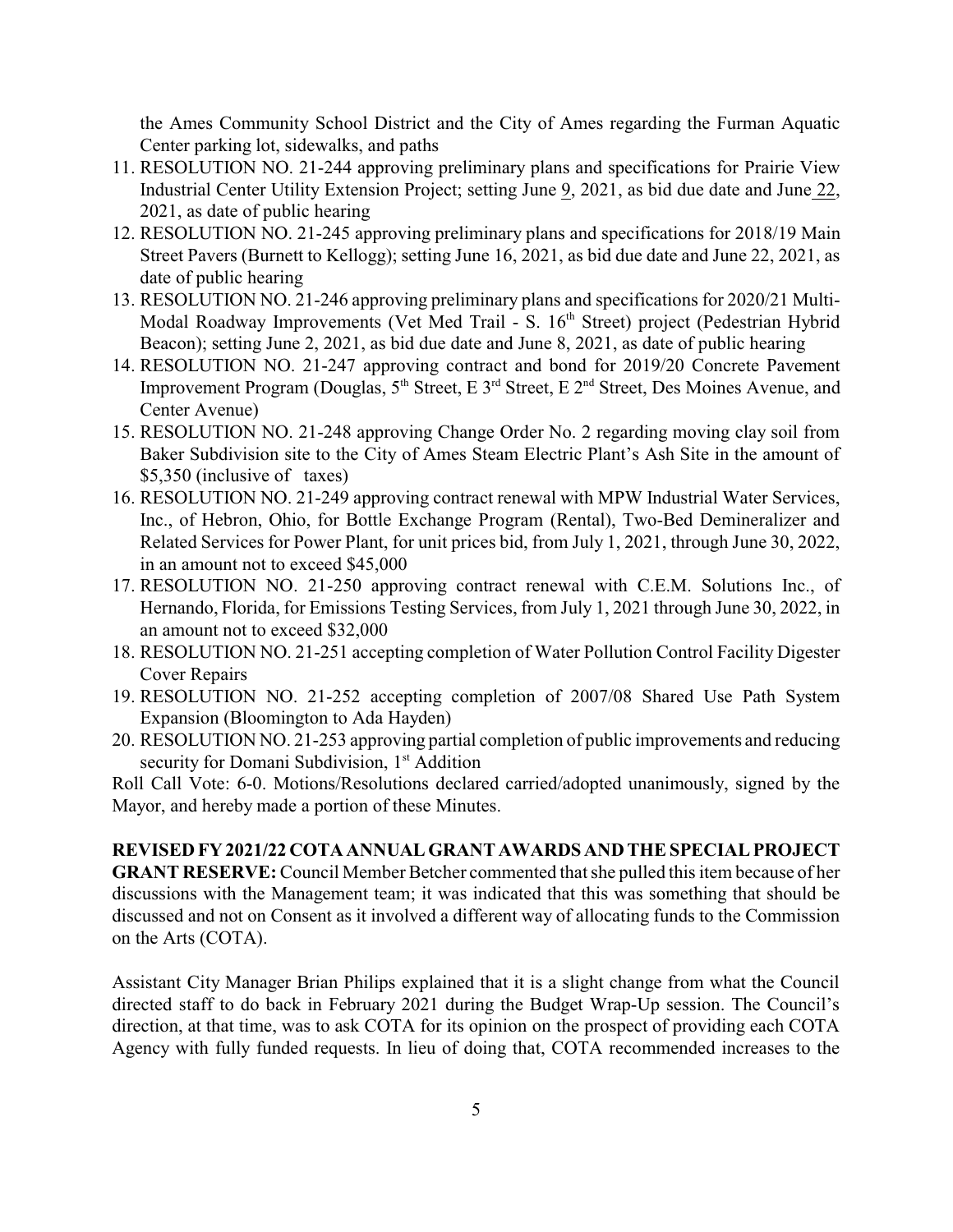the Ames Community School District and the City of Ames regarding the Furman Aquatic Center parking lot, sidewalks, and paths

- 11. RESOLUTION NO. 21-244 approving preliminary plans and specifications for Prairie View Industrial Center Utility Extension Project; setting June 9, 2021, as bid due date and June 22, 2021, as date of public hearing
- 12. RESOLUTION NO. 21-245 approving preliminary plans and specifications for 2018/19 Main Street Pavers (Burnett to Kellogg); setting June 16, 2021, as bid due date and June 22, 2021, as date of public hearing
- 13. RESOLUTION NO. 21-246 approving preliminary plans and specifications for 2020/21 Multi-Modal Roadway Improvements (Vet Med Trail - S. 16<sup>th</sup> Street) project (Pedestrian Hybrid Beacon); setting June 2, 2021, as bid due date and June 8, 2021, as date of public hearing
- 14. RESOLUTION NO. 21-247 approving contract and bond for 2019/20 Concrete Pavement Improvement Program (Douglas, 5<sup>th</sup> Street, E 3<sup>rd</sup> Street, E 2<sup>nd</sup> Street, Des Moines Avenue, and Center Avenue)
- 15. RESOLUTION NO. 21-248 approving Change Order No. 2 regarding moving clay soil from Baker Subdivision site to the City of Ames Steam Electric Plant's Ash Site in the amount of \$5,350 (inclusive of taxes)
- 16. RESOLUTION NO. 21-249 approving contract renewal with MPW Industrial Water Services, Inc., of Hebron, Ohio, for Bottle Exchange Program (Rental), Two-Bed Demineralizer and Related Services for Power Plant, for unit prices bid, from July 1, 2021, through June 30, 2022, in an amount not to exceed \$45,000
- 17. RESOLUTION NO. 21-250 approving contract renewal with C.E.M. Solutions Inc., of Hernando, Florida, for Emissions Testing Services, from July 1, 2021 through June 30, 2022, in an amount not to exceed \$32,000
- 18. RESOLUTION NO. 21-251 accepting completion of Water Pollution Control Facility Digester Cover Repairs
- 19. RESOLUTION NO. 21-252 accepting completion of 2007/08 Shared Use Path System Expansion (Bloomington to Ada Hayden)
- 20. RESOLUTION NO. 21-253 approving partial completion of public improvements and reducing security for Domani Subdivision, 1<sup>st</sup> Addition

Roll Call Vote: 6-0. Motions/Resolutions declared carried/adopted unanimously, signed by the Mayor, and hereby made a portion of these Minutes.

**REVISED FY 2021/22 COTA ANNUAL GRANT AWARDS AND THE SPECIAL PROJECT GRANT RESERVE:** Council Member Betcher commented that she pulled this item because of her discussions with the Management team; it was indicated that this was something that should be discussed and not on Consent as it involved a different way of allocating funds to the Commission on the Arts (COTA).

Assistant City Manager Brian Philips explained that it is a slight change from what the Council directed staff to do back in February 2021 during the Budget Wrap-Up session. The Council's direction, at that time, was to ask COTA for its opinion on the prospect of providing each COTA Agency with fully funded requests. In lieu of doing that, COTA recommended increases to the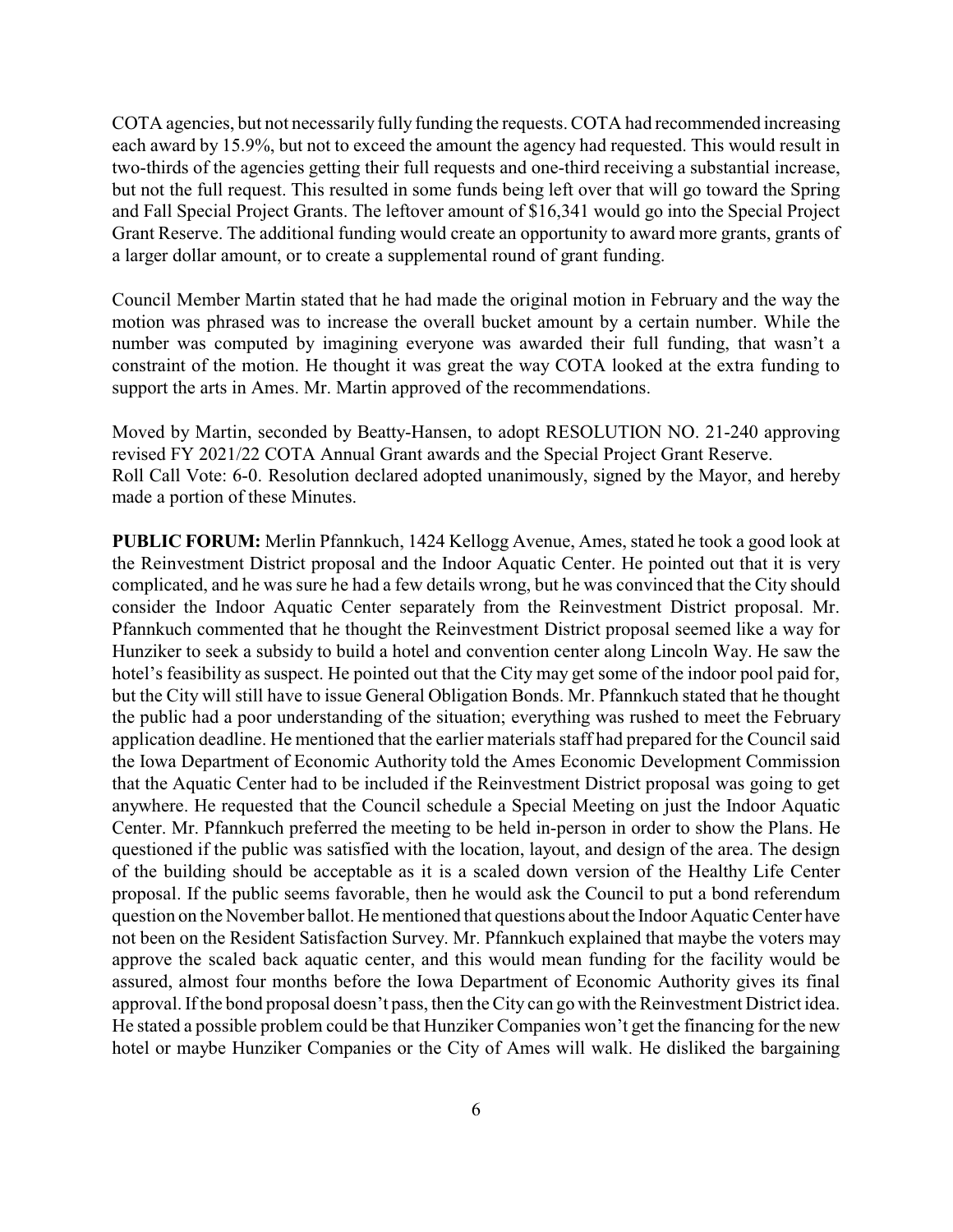COTA agencies, but not necessarily fully funding the requests. COTA had recommended increasing each award by 15.9%, but not to exceed the amount the agency had requested. This would result in two-thirds of the agencies getting their full requests and one-third receiving a substantial increase, but not the full request. This resulted in some funds being left over that will go toward the Spring and Fall Special Project Grants. The leftover amount of \$16,341 would go into the Special Project Grant Reserve. The additional funding would create an opportunity to award more grants, grants of a larger dollar amount, or to create a supplemental round of grant funding.

Council Member Martin stated that he had made the original motion in February and the way the motion was phrased was to increase the overall bucket amount by a certain number. While the number was computed by imagining everyone was awarded their full funding, that wasn't a constraint of the motion. He thought it was great the way COTA looked at the extra funding to support the arts in Ames. Mr. Martin approved of the recommendations.

Moved by Martin, seconded by Beatty-Hansen, to adopt RESOLUTION NO. 21-240 approving revised FY 2021/22 COTA Annual Grant awards and the Special Project Grant Reserve. Roll Call Vote: 6-0. Resolution declared adopted unanimously, signed by the Mayor, and hereby made a portion of these Minutes.

**PUBLIC FORUM:** Merlin Pfannkuch, 1424 Kellogg Avenue, Ames, stated he took a good look at the Reinvestment District proposal and the Indoor Aquatic Center. He pointed out that it is very complicated, and he was sure he had a few details wrong, but he was convinced that the City should consider the Indoor Aquatic Center separately from the Reinvestment District proposal. Mr. Pfannkuch commented that he thought the Reinvestment District proposal seemed like a way for Hunziker to seek a subsidy to build a hotel and convention center along Lincoln Way. He saw the hotel's feasibility as suspect. He pointed out that the City may get some of the indoor pool paid for, but the City will still have to issue General Obligation Bonds. Mr. Pfannkuch stated that he thought the public had a poor understanding of the situation; everything was rushed to meet the February application deadline. He mentioned that the earlier materials staff had prepared for the Council said the Iowa Department of Economic Authority told the Ames Economic Development Commission that the Aquatic Center had to be included if the Reinvestment District proposal was going to get anywhere. He requested that the Council schedule a Special Meeting on just the Indoor Aquatic Center. Mr. Pfannkuch preferred the meeting to be held in-person in order to show the Plans. He questioned if the public was satisfied with the location, layout, and design of the area. The design of the building should be acceptable as it is a scaled down version of the Healthy Life Center proposal. If the public seems favorable, then he would ask the Council to put a bond referendum question on the November ballot. He mentioned that questions about the Indoor Aquatic Center have not been on the Resident Satisfaction Survey. Mr. Pfannkuch explained that maybe the voters may approve the scaled back aquatic center, and this would mean funding for the facility would be assured, almost four months before the Iowa Department of Economic Authority gives its final approval. If the bond proposal doesn't pass, then the City can go with the Reinvestment District idea. He stated a possible problem could be that Hunziker Companies won't get the financing for the new hotel or maybe Hunziker Companies or the City of Ames will walk. He disliked the bargaining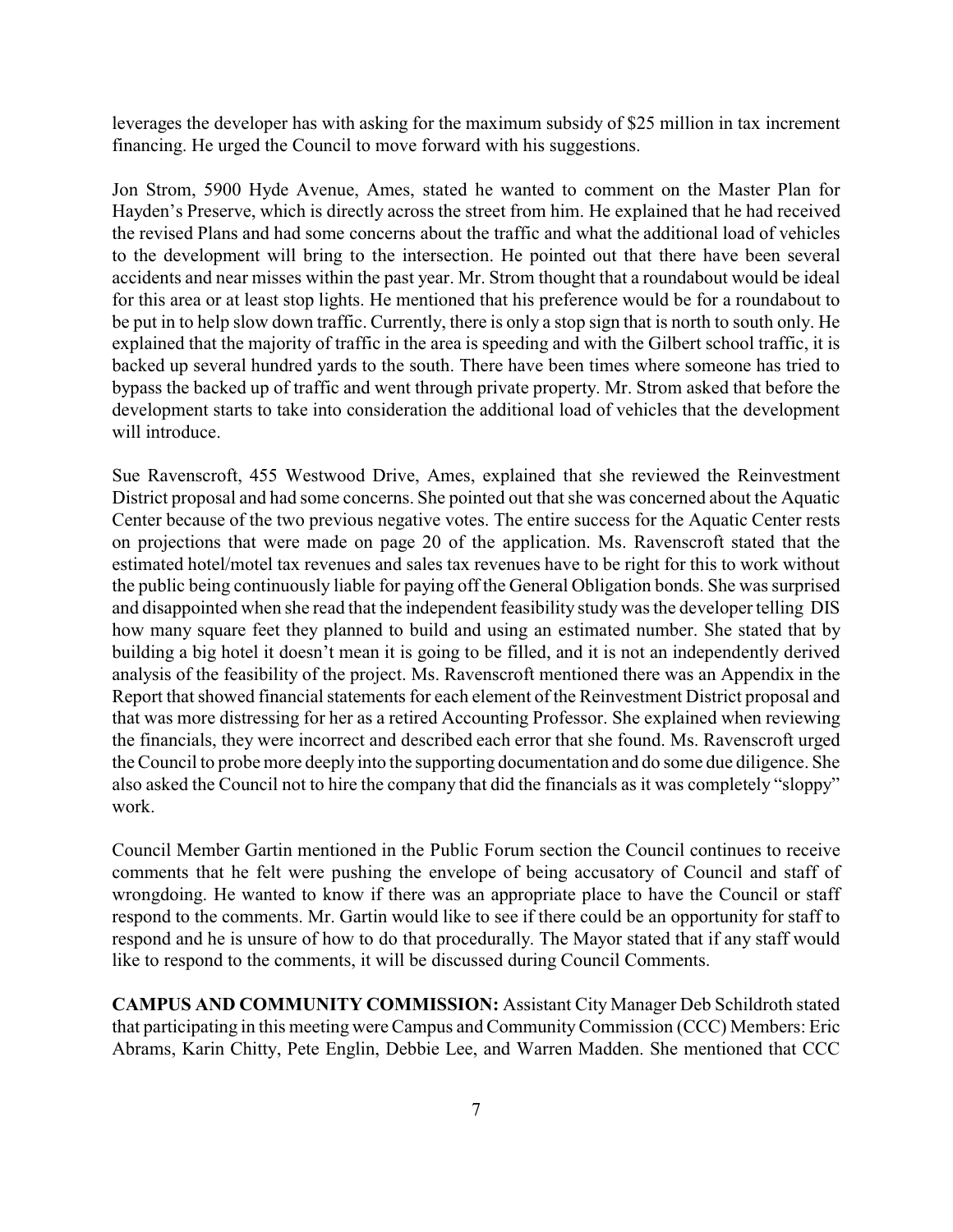leverages the developer has with asking for the maximum subsidy of \$25 million in tax increment financing. He urged the Council to move forward with his suggestions.

Jon Strom, 5900 Hyde Avenue, Ames, stated he wanted to comment on the Master Plan for Hayden's Preserve, which is directly across the street from him. He explained that he had received the revised Plans and had some concerns about the traffic and what the additional load of vehicles to the development will bring to the intersection. He pointed out that there have been several accidents and near misses within the past year. Mr. Strom thought that a roundabout would be ideal for this area or at least stop lights. He mentioned that his preference would be for a roundabout to be put in to help slow down traffic. Currently, there is only a stop sign that is north to south only. He explained that the majority of traffic in the area is speeding and with the Gilbert school traffic, it is backed up several hundred yards to the south. There have been times where someone has tried to bypass the backed up of traffic and went through private property. Mr. Strom asked that before the development starts to take into consideration the additional load of vehicles that the development will introduce

Sue Ravenscroft, 455 Westwood Drive, Ames, explained that she reviewed the Reinvestment District proposal and had some concerns. She pointed out that she was concerned about the Aquatic Center because of the two previous negative votes. The entire success for the Aquatic Center rests on projections that were made on page 20 of the application. Ms. Ravenscroft stated that the estimated hotel/motel tax revenues and sales tax revenues have to be right for this to work without the public being continuously liable for paying off the General Obligation bonds. She was surprised and disappointed when she read that the independent feasibility study was the developer telling DIS how many square feet they planned to build and using an estimated number. She stated that by building a big hotel it doesn't mean it is going to be filled, and it is not an independently derived analysis of the feasibility of the project. Ms. Ravenscroft mentioned there was an Appendix in the Report that showed financial statements for each element of the Reinvestment District proposal and that was more distressing for her as a retired Accounting Professor. She explained when reviewing the financials, they were incorrect and described each error that she found. Ms. Ravenscroft urged the Council to probe more deeply into the supporting documentation and do some due diligence. She also asked the Council not to hire the company that did the financials as it was completely "sloppy" work.

Council Member Gartin mentioned in the Public Forum section the Council continues to receive comments that he felt were pushing the envelope of being accusatory of Council and staff of wrongdoing. He wanted to know if there was an appropriate place to have the Council or staff respond to the comments. Mr. Gartin would like to see if there could be an opportunity for staff to respond and he is unsure of how to do that procedurally. The Mayor stated that if any staff would like to respond to the comments, it will be discussed during Council Comments.

**CAMPUS AND COMMUNITY COMMISSION:** Assistant City Manager Deb Schildroth stated that participating in this meeting were Campus and CommunityCommission (CCC) Members: Eric Abrams, Karin Chitty, Pete Englin, Debbie Lee, and Warren Madden. She mentioned that CCC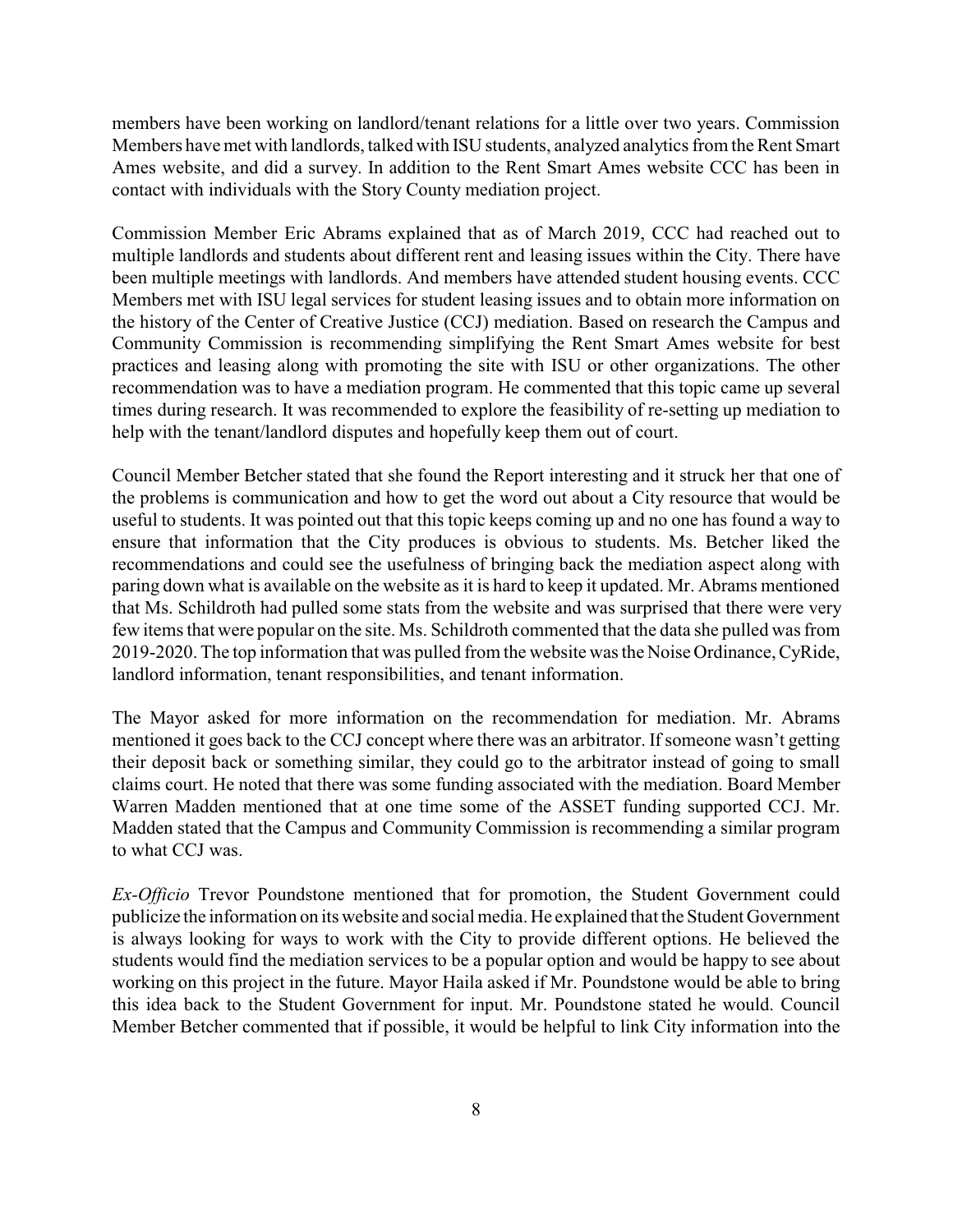members have been working on landlord/tenant relations for a little over two years. Commission Members have met with landlords, talked with ISU students, analyzed analytics from the Rent Smart Ames website, and did a survey. In addition to the Rent Smart Ames website CCC has been in contact with individuals with the Story County mediation project.

Commission Member Eric Abrams explained that as of March 2019, CCC had reached out to multiple landlords and students about different rent and leasing issues within the City. There have been multiple meetings with landlords. And members have attended student housing events. CCC Members met with ISU legal services for student leasing issues and to obtain more information on the history of the Center of Creative Justice (CCJ) mediation. Based on research the Campus and Community Commission is recommending simplifying the Rent Smart Ames website for best practices and leasing along with promoting the site with ISU or other organizations. The other recommendation was to have a mediation program. He commented that this topic came up several times during research. It was recommended to explore the feasibility of re-setting up mediation to help with the tenant/landlord disputes and hopefully keep them out of court.

Council Member Betcher stated that she found the Report interesting and it struck her that one of the problems is communication and how to get the word out about a City resource that would be useful to students. It was pointed out that this topic keeps coming up and no one has found a way to ensure that information that the City produces is obvious to students. Ms. Betcher liked the recommendations and could see the usefulness of bringing back the mediation aspect along with paring down what is available on the website as it is hard to keep it updated. Mr. Abrams mentioned that Ms. Schildroth had pulled some stats from the website and was surprised that there were very few items that were popular on the site. Ms. Schildroth commented that the data she pulled was from 2019-2020. The top information that was pulled from the website was the Noise Ordinance, CyRide, landlord information, tenant responsibilities, and tenant information.

The Mayor asked for more information on the recommendation for mediation. Mr. Abrams mentioned it goes back to the CCJ concept where there was an arbitrator. If someone wasn't getting their deposit back or something similar, they could go to the arbitrator instead of going to small claims court. He noted that there was some funding associated with the mediation. Board Member Warren Madden mentioned that at one time some of the ASSET funding supported CCJ. Mr. Madden stated that the Campus and Community Commission is recommending a similar program to what CCJ was.

*Ex-Officio* Trevor Poundstone mentioned that for promotion, the Student Government could publicize the information on its website and social media. He explained that the Student Government is always looking for ways to work with the City to provide different options. He believed the students would find the mediation services to be a popular option and would be happy to see about working on this project in the future. Mayor Haila asked if Mr. Poundstone would be able to bring this idea back to the Student Government for input. Mr. Poundstone stated he would. Council Member Betcher commented that if possible, it would be helpful to link City information into the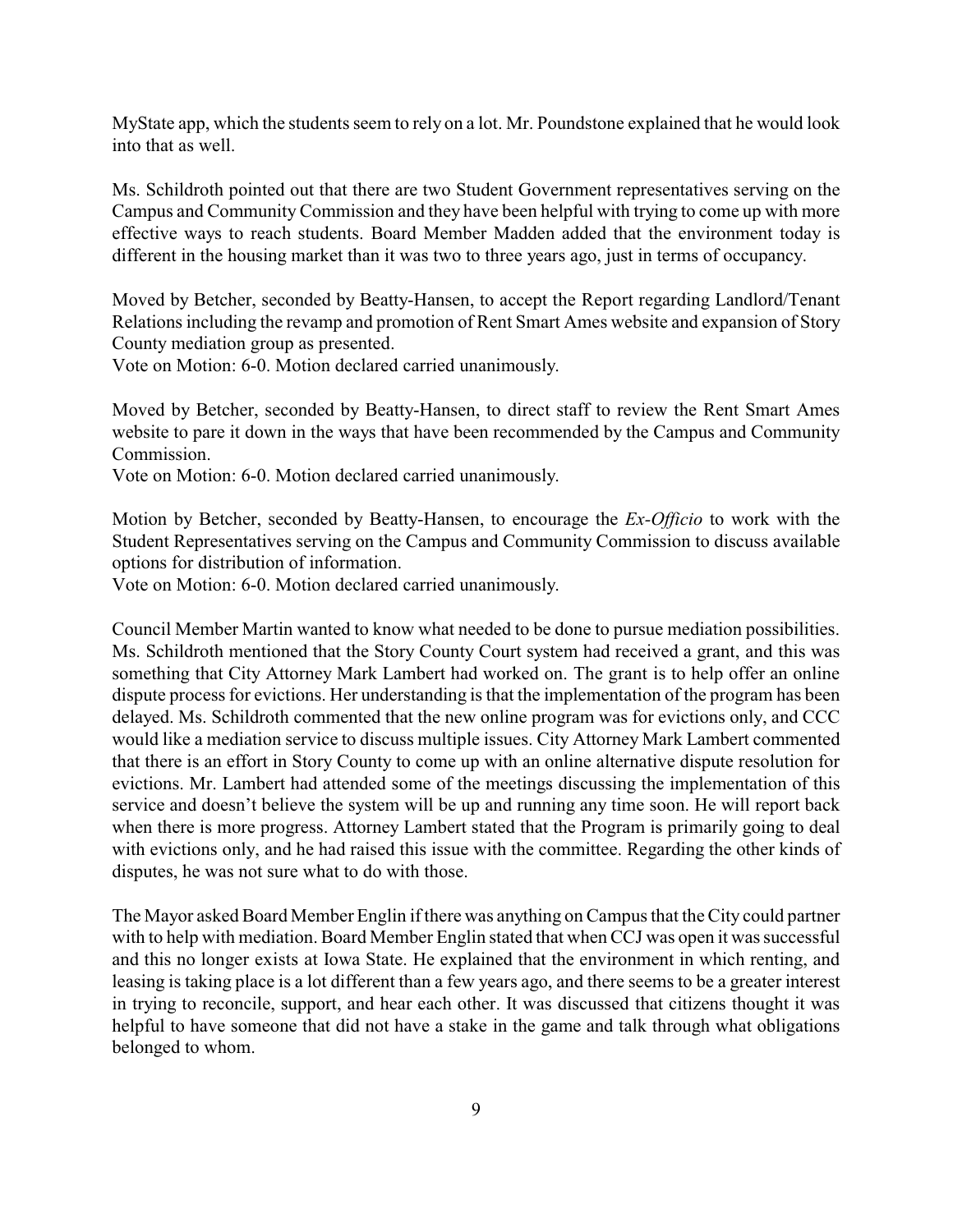MyState app, which the students seem to rely on a lot. Mr. Poundstone explained that he would look into that as well.

Ms. Schildroth pointed out that there are two Student Government representatives serving on the Campus and Community Commission and they have been helpful with trying to come up with more effective ways to reach students. Board Member Madden added that the environment today is different in the housing market than it was two to three years ago, just in terms of occupancy.

Moved by Betcher, seconded by Beatty-Hansen, to accept the Report regarding Landlord/Tenant Relations including the revamp and promotion of Rent Smart Ames website and expansion of Story County mediation group as presented.

Vote on Motion: 6-0. Motion declared carried unanimously.

Moved by Betcher, seconded by Beatty-Hansen, to direct staff to review the Rent Smart Ames website to pare it down in the ways that have been recommended by the Campus and Community Commission.

Vote on Motion: 6-0. Motion declared carried unanimously.

Motion by Betcher, seconded by Beatty-Hansen, to encourage the *Ex-Officio* to work with the Student Representatives serving on the Campus and Community Commission to discuss available options for distribution of information.

Vote on Motion: 6-0. Motion declared carried unanimously.

Council Member Martin wanted to know what needed to be done to pursue mediation possibilities. Ms. Schildroth mentioned that the Story County Court system had received a grant, and this was something that City Attorney Mark Lambert had worked on. The grant is to help offer an online dispute process for evictions. Her understanding is that the implementation of the program has been delayed. Ms. Schildroth commented that the new online program was for evictions only, and CCC would like a mediation service to discuss multiple issues. City Attorney Mark Lambert commented that there is an effort in Story County to come up with an online alternative dispute resolution for evictions. Mr. Lambert had attended some of the meetings discussing the implementation of this service and doesn't believe the system will be up and running any time soon. He will report back when there is more progress. Attorney Lambert stated that the Program is primarily going to deal with evictions only, and he had raised this issue with the committee. Regarding the other kinds of disputes, he was not sure what to do with those.

The Mayor asked Board Member Englin if there was anything on Campus that the City could partner with to help with mediation. Board Member Englin stated that when CCJ was open it was successful and this no longer exists at Iowa State. He explained that the environment in which renting, and leasing is taking place is a lot different than a few years ago, and there seems to be a greater interest in trying to reconcile, support, and hear each other. It was discussed that citizens thought it was helpful to have someone that did not have a stake in the game and talk through what obligations belonged to whom.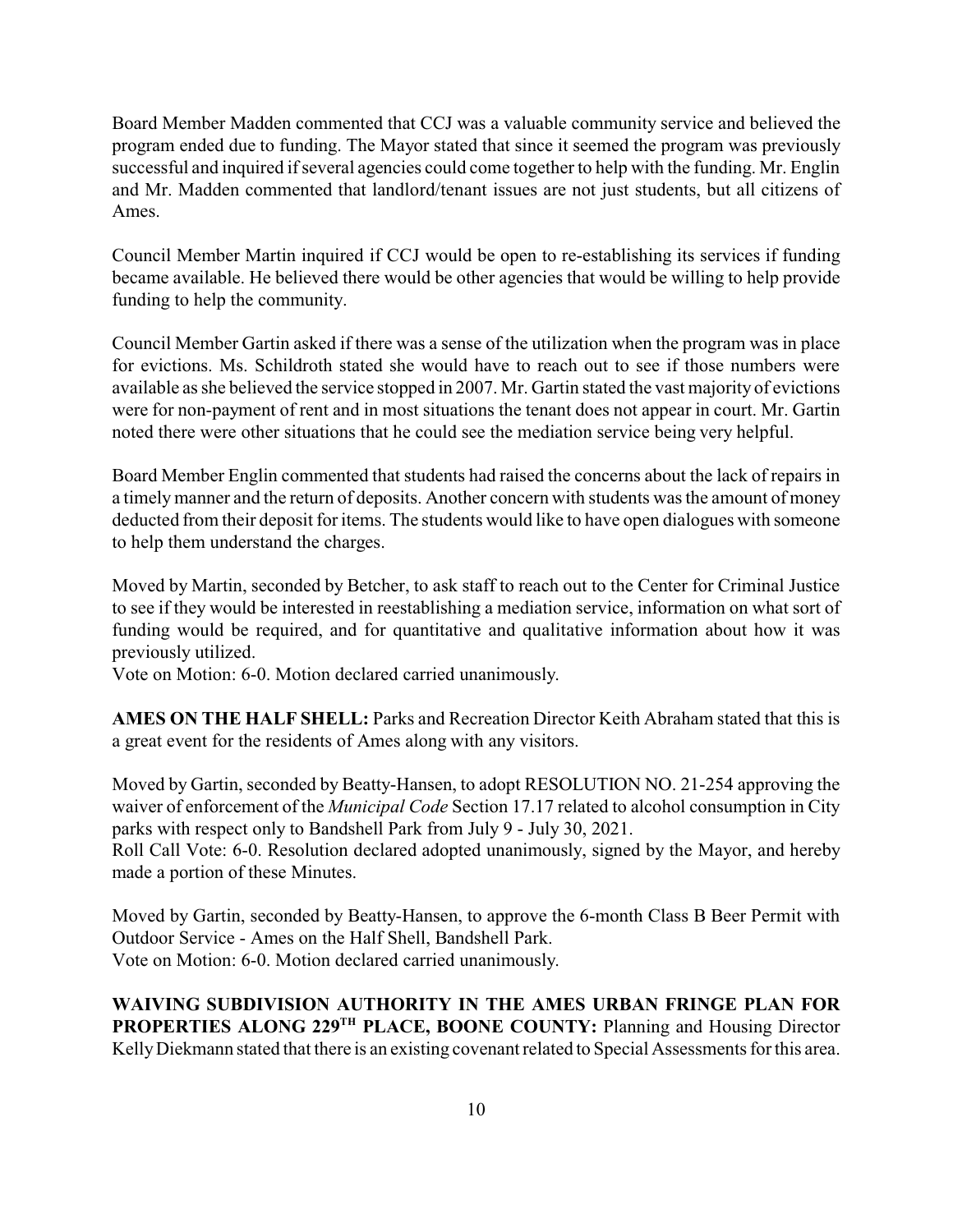Board Member Madden commented that CCJ was a valuable community service and believed the program ended due to funding. The Mayor stated that since it seemed the program was previously successful and inquired if several agencies could come together to help with the funding. Mr. Englin and Mr. Madden commented that landlord/tenant issues are not just students, but all citizens of Ames.

Council Member Martin inquired if CCJ would be open to re-establishing its services if funding became available. He believed there would be other agencies that would be willing to help provide funding to help the community.

Council Member Gartin asked if there was a sense of the utilization when the program was in place for evictions. Ms. Schildroth stated she would have to reach out to see if those numbers were available as she believed the service stopped in 2007. Mr. Gartin stated the vast majority of evictions were for non-payment of rent and in most situations the tenant does not appear in court. Mr. Gartin noted there were other situations that he could see the mediation service being very helpful.

Board Member Englin commented that students had raised the concerns about the lack of repairs in a timelymanner and the return of deposits. Another concern with students was the amount of money deducted from their deposit for items. The students would like to have open dialogues with someone to help them understand the charges.

Moved by Martin, seconded by Betcher, to ask staff to reach out to the Center for Criminal Justice to see if they would be interested in reestablishing a mediation service, information on what sort of funding would be required, and for quantitative and qualitative information about how it was previously utilized.

Vote on Motion: 6-0. Motion declared carried unanimously.

**AMES ON THE HALF SHELL:** Parks and Recreation Director Keith Abraham stated that this is a great event for the residents of Ames along with any visitors.

Moved by Gartin, seconded by Beatty-Hansen, to adopt RESOLUTION NO. 21-254 approving the waiver of enforcement of the *Municipal Code* Section 17.17 related to alcohol consumption in City parks with respect only to Bandshell Park from July 9 - July 30, 2021.

Roll Call Vote: 6-0. Resolution declared adopted unanimously, signed by the Mayor, and hereby made a portion of these Minutes.

Moved by Gartin, seconded by Beatty-Hansen, to approve the 6-month Class B Beer Permit with Outdoor Service - Ames on the Half Shell, Bandshell Park. Vote on Motion: 6-0. Motion declared carried unanimously.

**WAIVING SUBDIVISION AUTHORITY IN THE AMES URBAN FRINGE PLAN FOR PROPERTIES ALONG 229TH PLACE, BOONE COUNTY:** Planning and Housing Director KellyDiekmann stated that there is an existing covenant related to Special Assessments for this area.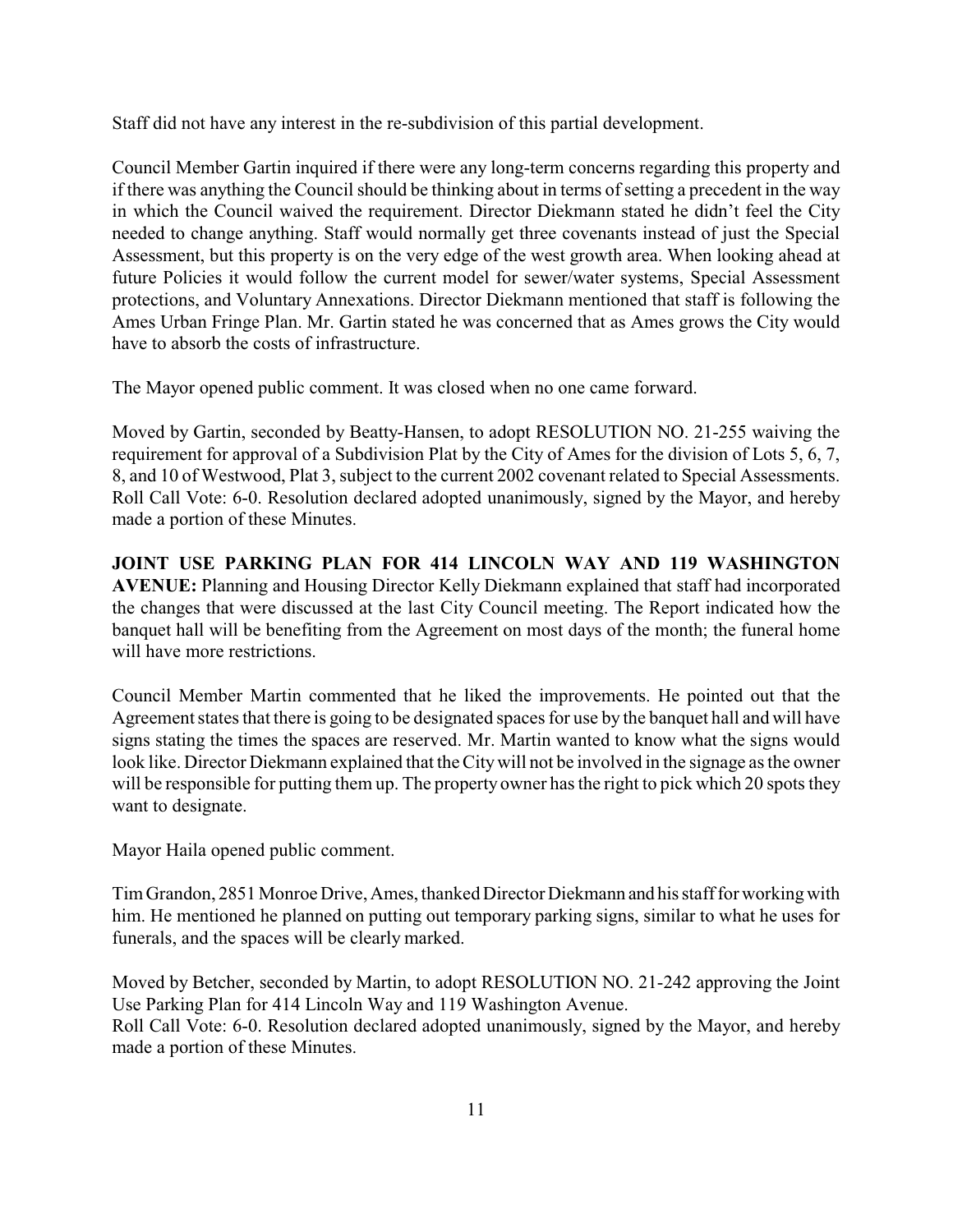Staff did not have any interest in the re-subdivision of this partial development.

Council Member Gartin inquired if there were any long-term concerns regarding this property and if there was anything the Council should be thinking about in terms of setting a precedent in the way in which the Council waived the requirement. Director Diekmann stated he didn't feel the City needed to change anything. Staff would normally get three covenants instead of just the Special Assessment, but this property is on the very edge of the west growth area. When looking ahead at future Policies it would follow the current model for sewer/water systems, Special Assessment protections, and Voluntary Annexations. Director Diekmann mentioned that staff is following the Ames Urban Fringe Plan. Mr. Gartin stated he was concerned that as Ames grows the City would have to absorb the costs of infrastructure.

The Mayor opened public comment. It was closed when no one came forward.

Moved by Gartin, seconded by Beatty-Hansen, to adopt RESOLUTION NO. 21-255 waiving the requirement for approval of a Subdivision Plat by the City of Ames for the division of Lots 5, 6, 7, 8, and 10 of Westwood, Plat 3, subject to the current 2002 covenant related to Special Assessments. Roll Call Vote: 6-0. Resolution declared adopted unanimously, signed by the Mayor, and hereby made a portion of these Minutes.

**JOINT USE PARKING PLAN FOR 414 LINCOLN WAY AND 119 WASHINGTON AVENUE:** Planning and Housing Director Kelly Diekmann explained that staff had incorporated the changes that were discussed at the last City Council meeting. The Report indicated how the banquet hall will be benefiting from the Agreement on most days of the month; the funeral home will have more restrictions.

Council Member Martin commented that he liked the improvements. He pointed out that the Agreement states that there is going to be designated spaces for use by the banquet hall and will have signs stating the times the spaces are reserved. Mr. Martin wanted to know what the signs would look like. Director Diekmann explained that the Citywill not be involved in the signage as the owner will be responsible for putting them up. The property owner has the right to pick which 20 spots they want to designate.

Mayor Haila opened public comment.

Tim Grandon, 2851 Monroe Drive, Ames, thanked Director Diekmann and his staff for workingwith him. He mentioned he planned on putting out temporary parking signs, similar to what he uses for funerals, and the spaces will be clearly marked.

Moved by Betcher, seconded by Martin, to adopt RESOLUTION NO. 21-242 approving the Joint Use Parking Plan for 414 Lincoln Way and 119 Washington Avenue. Roll Call Vote: 6-0. Resolution declared adopted unanimously, signed by the Mayor, and hereby made a portion of these Minutes.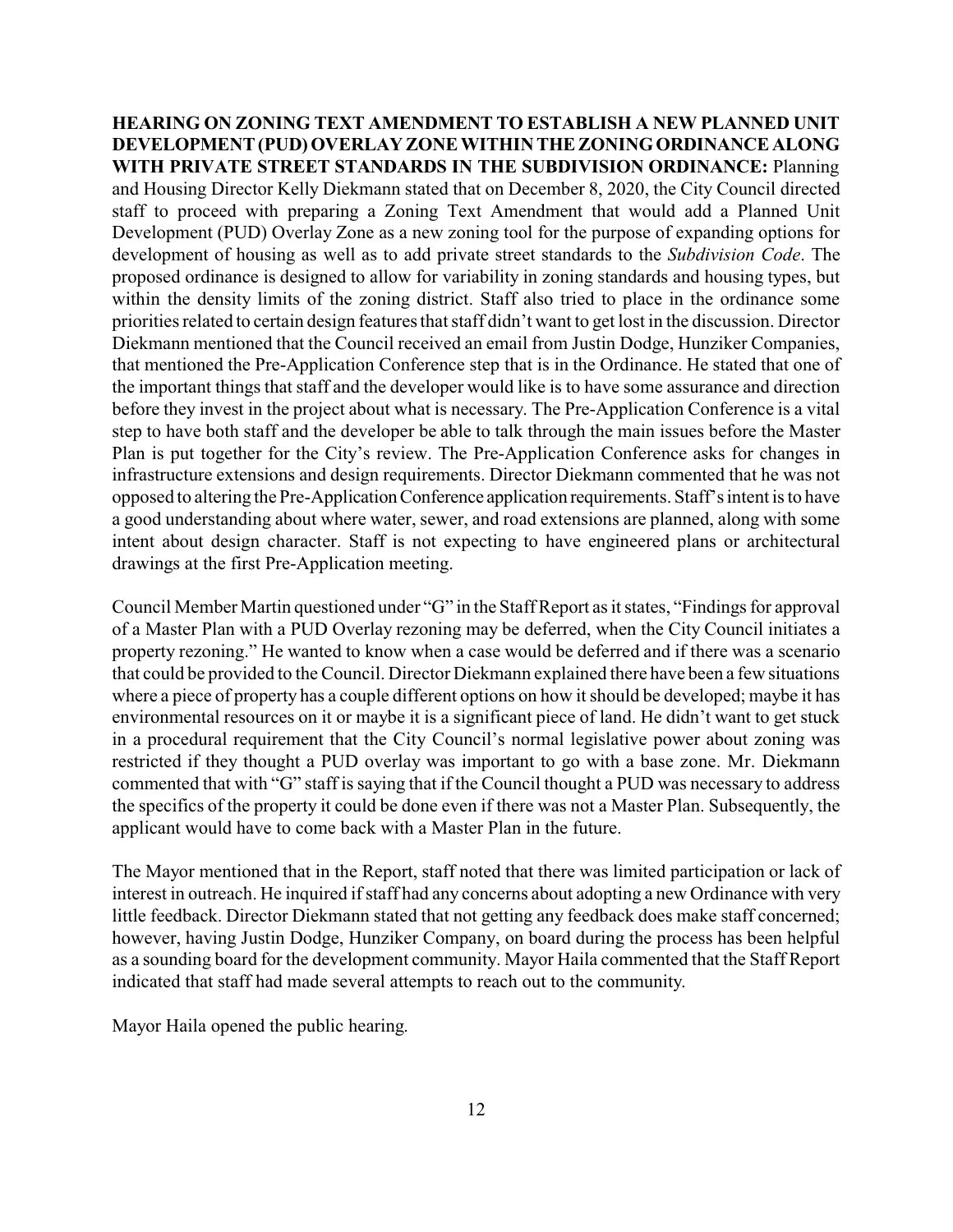**HEARING ON ZONING TEXT AMENDMENT TO ESTABLISH A NEW PLANNED UNIT DEVELOPMENT(PUD) OVERLAYZONEWITHINTHEZONINGORDINANCEALONG WITH PRIVATE STREET STANDARDS IN THE SUBDIVISION ORDINANCE:** Planning and Housing Director Kelly Diekmann stated that on December 8, 2020, the City Council directed staff to proceed with preparing a Zoning Text Amendment that would add a Planned Unit Development (PUD) Overlay Zone as a new zoning tool for the purpose of expanding options for development of housing as well as to add private street standards to the *Subdivision Code*. The proposed ordinance is designed to allow for variability in zoning standards and housing types, but within the density limits of the zoning district. Staff also tried to place in the ordinance some priorities related to certain design features that staff didn't want to get lost in the discussion. Director Diekmann mentioned that the Council received an email from Justin Dodge, Hunziker Companies, that mentioned the Pre-Application Conference step that is in the Ordinance. He stated that one of the important things that staff and the developer would like is to have some assurance and direction before they invest in the project about what is necessary. The Pre-Application Conference is a vital step to have both staff and the developer be able to talk through the main issues before the Master Plan is put together for the City's review. The Pre-Application Conference asks for changes in infrastructure extensions and design requirements. Director Diekmann commented that he was not opposed to altering the Pre-ApplicationConference application requirements. Staff's intent is to have a good understanding about where water, sewer, and road extensions are planned, along with some intent about design character. Staff is not expecting to have engineered plans or architectural drawings at the first Pre-Application meeting.

Council Member Martin questioned under "G" in the Staff Report as it states, "Findings for approval of a Master Plan with a PUD Overlay rezoning may be deferred, when the City Council initiates a property rezoning." He wanted to know when a case would be deferred and if there was a scenario that could be provided to the Council. Director Diekmann explained there have been a few situations where a piece of property has a couple different options on how it should be developed; maybe it has environmental resources on it or maybe it is a significant piece of land. He didn't want to get stuck in a procedural requirement that the City Council's normal legislative power about zoning was restricted if they thought a PUD overlay was important to go with a base zone. Mr. Diekmann commented that with "G" staff is saying that if the Council thought a PUD was necessary to address the specifics of the property it could be done even if there was not a Master Plan. Subsequently, the applicant would have to come back with a Master Plan in the future.

The Mayor mentioned that in the Report, staff noted that there was limited participation or lack of interest in outreach. He inquired if staff had any concerns about adopting a new Ordinance with very little feedback. Director Diekmann stated that not getting any feedback does make staff concerned; however, having Justin Dodge, Hunziker Company, on board during the process has been helpful as a sounding board for the development community. Mayor Haila commented that the Staff Report indicated that staff had made several attempts to reach out to the community.

Mayor Haila opened the public hearing.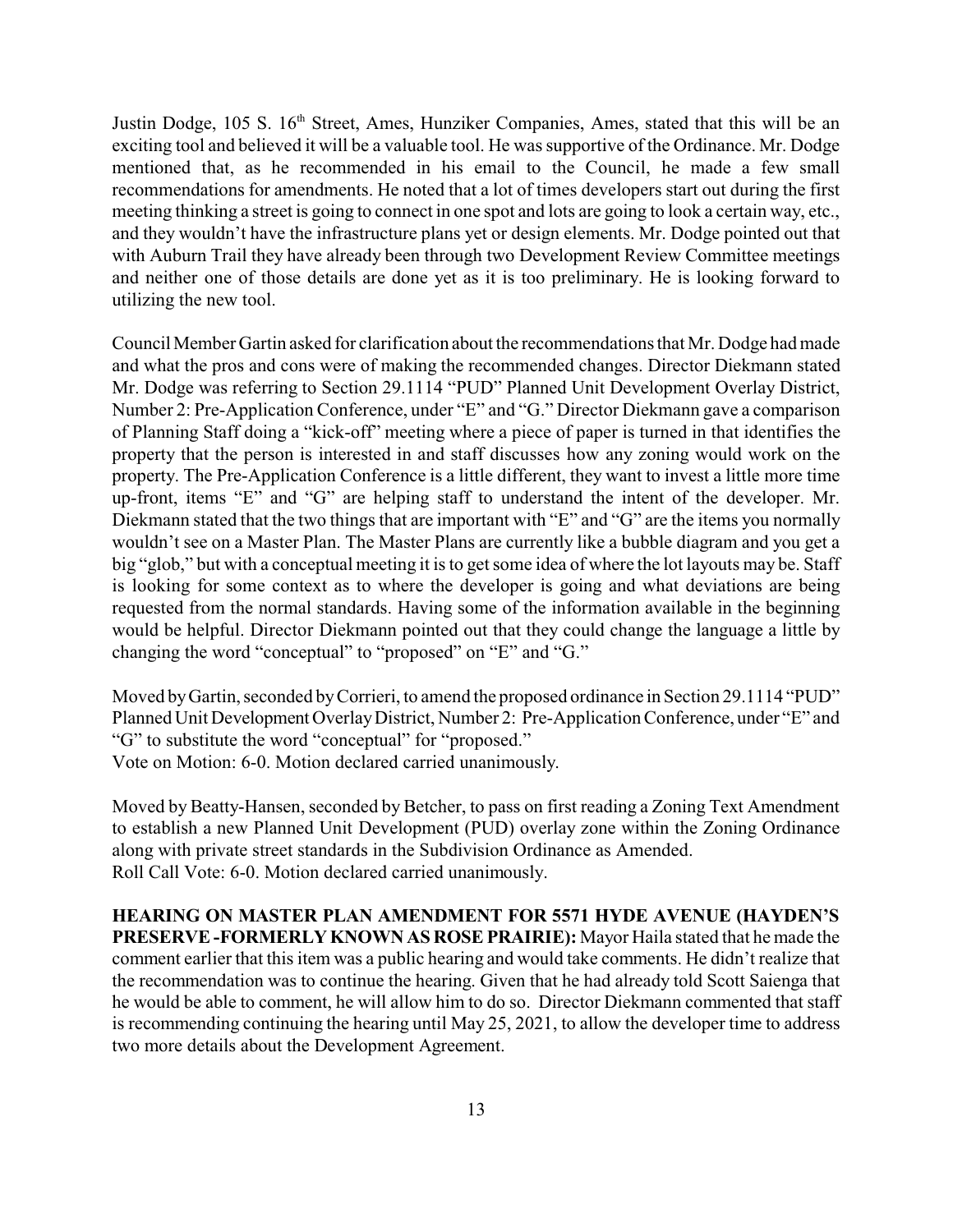Justin Dodge, 105 S. 16<sup>th</sup> Street, Ames, Hunziker Companies, Ames, stated that this will be an exciting tool and believed it will be a valuable tool. He was supportive of the Ordinance. Mr. Dodge mentioned that, as he recommended in his email to the Council, he made a few small recommendations for amendments. He noted that a lot of times developers start out during the first meeting thinking a street is going to connect in one spot and lots are going to look a certain way, etc., and they wouldn't have the infrastructure plans yet or design elements. Mr. Dodge pointed out that with Auburn Trail they have already been through two Development Review Committee meetings and neither one of those details are done yet as it is too preliminary. He is looking forward to utilizing the new tool.

CouncilMember Gartin asked for clarification about the recommendations that Mr. Dodge had made and what the pros and cons were of making the recommended changes. Director Diekmann stated Mr. Dodge was referring to Section 29.1114 "PUD" Planned Unit Development Overlay District, Number 2: Pre-Application Conference, under "E" and "G." Director Diekmann gave a comparison of Planning Staff doing a "kick-off" meeting where a piece of paper is turned in that identifies the property that the person is interested in and staff discusses how any zoning would work on the property. The Pre-Application Conference is a little different, they want to invest a little more time up-front, items "E" and "G" are helping staff to understand the intent of the developer. Mr. Diekmann stated that the two things that are important with "E" and "G" are the items you normally wouldn't see on a Master Plan. The Master Plans are currently like a bubble diagram and you get a big "glob," but with a conceptual meeting it is to get some idea of where the lot layouts may be. Staff is looking for some context as to where the developer is going and what deviations are being requested from the normal standards. Having some of the information available in the beginning would be helpful. Director Diekmann pointed out that they could change the language a little by changing the word "conceptual" to "proposed" on "E" and "G."

Moved by Gartin, seconded by Corrieri, to amend the proposed ordinance in Section 29.1114 "PUD" Planned Unit Development OverlayDistrict, Number 2: Pre-Application Conference, under "E" and "G" to substitute the word "conceptual" for "proposed." Vote on Motion: 6-0. Motion declared carried unanimously.

Moved by Beatty-Hansen, seconded by Betcher, to pass on first reading a Zoning Text Amendment to establish a new Planned Unit Development (PUD) overlay zone within the Zoning Ordinance along with private street standards in the Subdivision Ordinance as Amended. Roll Call Vote: 6-0. Motion declared carried unanimously.

**HEARING ON MASTER PLAN AMENDMENT FOR 5571 HYDE AVENUE (HAYDEN'S PRESERVE-FORMERLYKNOWN AS ROSEPRAIRIE):** Mayor Haila stated that he made the comment earlier that this item was a public hearing and would take comments. He didn't realize that the recommendation was to continue the hearing. Given that he had already told Scott Saienga that he would be able to comment, he will allow him to do so. Director Diekmann commented that staff is recommending continuing the hearing until May 25, 2021, to allow the developer time to address two more details about the Development Agreement.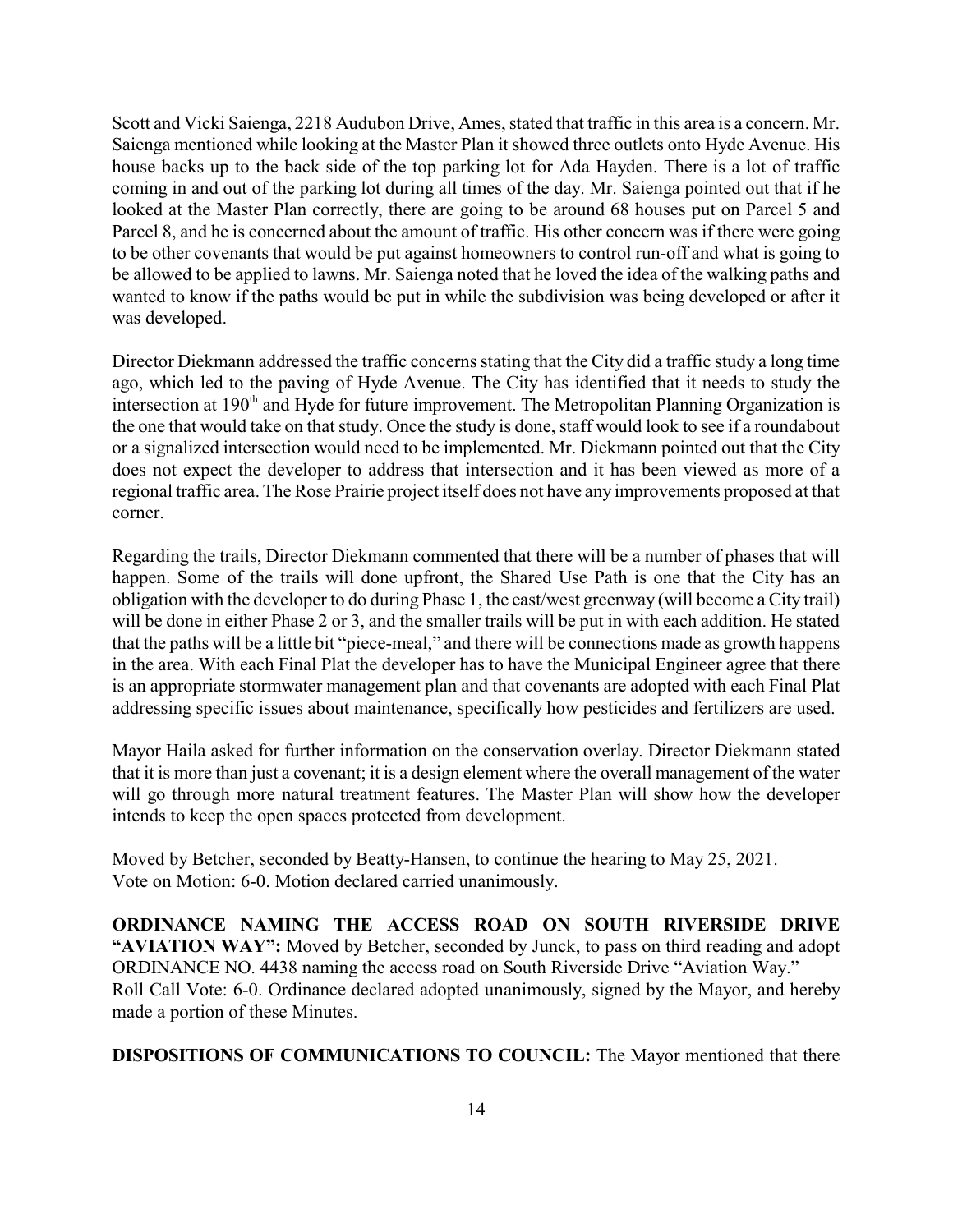Scott and Vicki Saienga, 2218 Audubon Drive, Ames, stated that traffic in this area is a concern. Mr. Saienga mentioned while looking at the Master Plan it showed three outlets onto Hyde Avenue. His house backs up to the back side of the top parking lot for Ada Hayden. There is a lot of traffic coming in and out of the parking lot during all times of the day. Mr. Saienga pointed out that if he looked at the Master Plan correctly, there are going to be around 68 houses put on Parcel 5 and Parcel 8, and he is concerned about the amount of traffic. His other concern was if there were going to be other covenants that would be put against homeowners to control run-off and what is going to be allowed to be applied to lawns. Mr. Saienga noted that he loved the idea of the walking paths and wanted to know if the paths would be put in while the subdivision was being developed or after it was developed.

Director Diekmann addressed the traffic concerns stating that the City did a traffic study a long time ago, which led to the paving of Hyde Avenue. The City has identified that it needs to study the intersection at 190<sup>th</sup> and Hyde for future improvement. The Metropolitan Planning Organization is the one that would take on that study. Once the study is done, staff would look to see if a roundabout or a signalized intersection would need to be implemented. Mr. Diekmann pointed out that the City does not expect the developer to address that intersection and it has been viewed as more of a regional traffic area. The Rose Prairie project itself does not have any improvements proposed at that corner.

Regarding the trails, Director Diekmann commented that there will be a number of phases that will happen. Some of the trails will done upfront, the Shared Use Path is one that the City has an obligation with the developer to do during Phase 1, the east/west greenway (will become a City trail) will be done in either Phase 2 or 3, and the smaller trails will be put in with each addition. He stated that the paths will be a little bit "piece-meal," and there will be connections made as growth happens in the area. With each Final Plat the developer has to have the Municipal Engineer agree that there is an appropriate stormwater management plan and that covenants are adopted with each Final Plat addressing specific issues about maintenance, specifically how pesticides and fertilizers are used.

Mayor Haila asked for further information on the conservation overlay. Director Diekmann stated that it is more than just a covenant; it is a design element where the overall management of the water will go through more natural treatment features. The Master Plan will show how the developer intends to keep the open spaces protected from development.

Moved by Betcher, seconded by Beatty-Hansen, to continue the hearing to May 25, 2021. Vote on Motion: 6-0. Motion declared carried unanimously.

**ORDINANCE NAMING THE ACCESS ROAD ON SOUTH RIVERSIDE DRIVE "AVIATION WAY":** Moved by Betcher, seconded by Junck, to pass on third reading and adopt ORDINANCE NO. 4438 naming the access road on South Riverside Drive "Aviation Way." Roll Call Vote: 6-0. Ordinance declared adopted unanimously, signed by the Mayor, and hereby made a portion of these Minutes.

**DISPOSITIONS OF COMMUNICATIONS TO COUNCIL:** The Mayor mentioned that there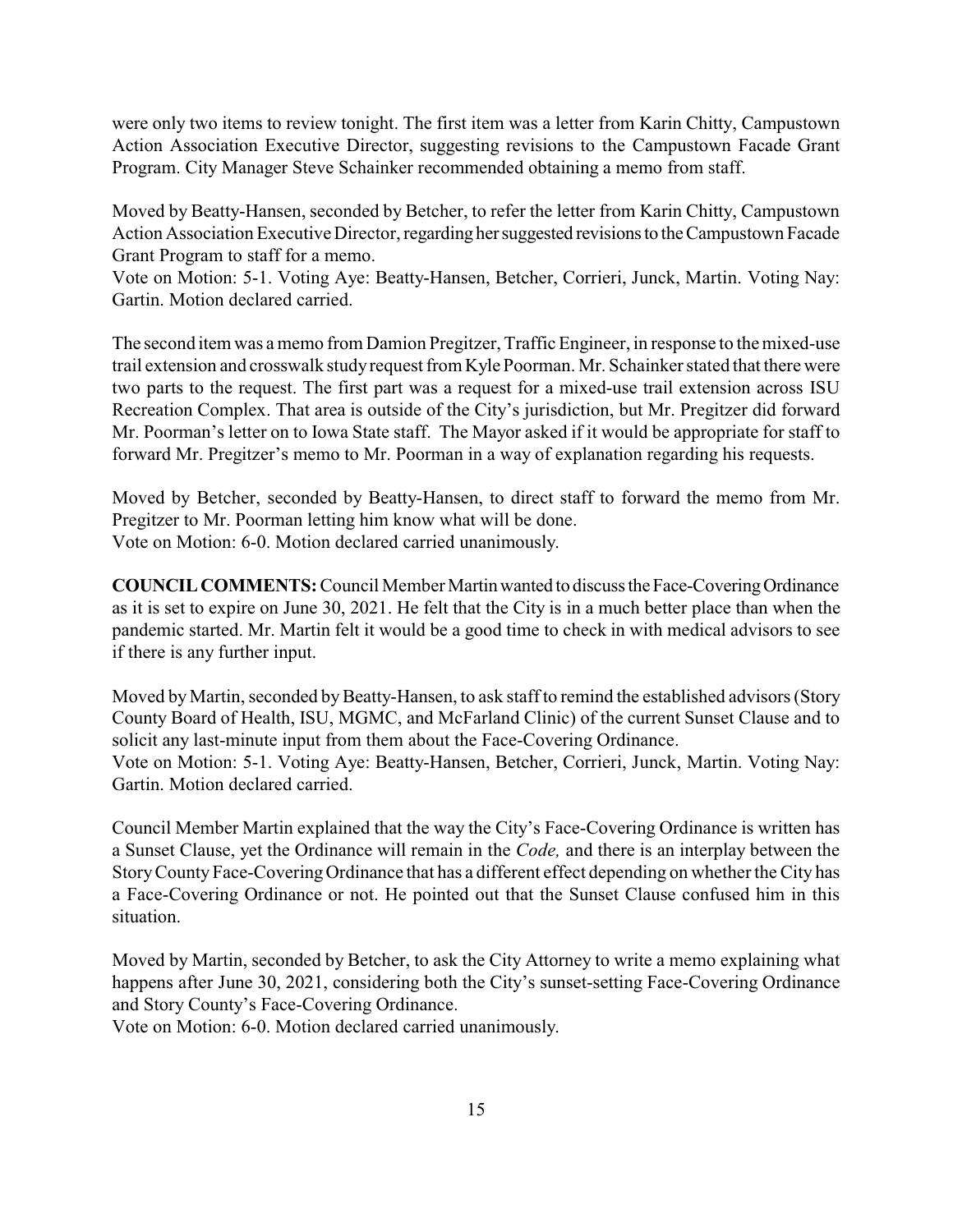were only two items to review tonight. The first item was a letter from Karin Chitty, Campustown Action Association Executive Director, suggesting revisions to the Campustown Facade Grant Program. City Manager Steve Schainker recommended obtaining a memo from staff.

Moved by Beatty-Hansen, seconded by Betcher, to refer the letter from Karin Chitty, Campustown Action Association Executive Director, regarding her suggested revisions to the Campustown Facade Grant Program to staff for a memo.

Vote on Motion: 5-1. Voting Aye: Beatty-Hansen, Betcher, Corrieri, Junck, Martin. Voting Nay: Gartin. Motion declared carried.

The second item was amemo from Damion Pregitzer, Traffic Engineer, in response to the mixed-use trail extension and crosswalk studyrequest from Kyle Poorman. Mr. Schainker stated that there were two parts to the request. The first part was a request for a mixed-use trail extension across ISU Recreation Complex. That area is outside of the City's jurisdiction, but Mr. Pregitzer did forward Mr. Poorman's letter on to Iowa State staff. The Mayor asked if it would be appropriate for staff to forward Mr. Pregitzer's memo to Mr. Poorman in a way of explanation regarding his requests.

Moved by Betcher, seconded by Beatty-Hansen, to direct staff to forward the memo from Mr. Pregitzer to Mr. Poorman letting him know what will be done. Vote on Motion: 6-0. Motion declared carried unanimously.

**COUNCIL COMMENTS:** Council Member Martin wanted to discuss the Face-Covering Ordinance as it is set to expire on June 30, 2021. He felt that the City is in a much better place than when the pandemic started. Mr. Martin felt it would be a good time to check in with medical advisors to see if there is any further input.

Moved by Martin, seconded by Beatty-Hansen, to ask staff to remind the established advisors (Story County Board of Health, ISU, MGMC, and McFarland Clinic) of the current Sunset Clause and to solicit any last-minute input from them about the Face-Covering Ordinance. Vote on Motion: 5-1. Voting Aye: Beatty-Hansen, Betcher, Corrieri, Junck, Martin. Voting Nay: Gartin. Motion declared carried.

Council Member Martin explained that the way the City's Face-Covering Ordinance is written has a Sunset Clause, yet the Ordinance will remain in the *Code,* and there is an interplay between the StoryCountyFace-CoveringOrdinance that has a different effect depending on whether the City has a Face-Covering Ordinance or not. He pointed out that the Sunset Clause confused him in this situation.

Moved by Martin, seconded by Betcher, to ask the City Attorney to write a memo explaining what happens after June 30, 2021, considering both the City's sunset-setting Face-Covering Ordinance and Story County's Face-Covering Ordinance.

Vote on Motion: 6-0. Motion declared carried unanimously.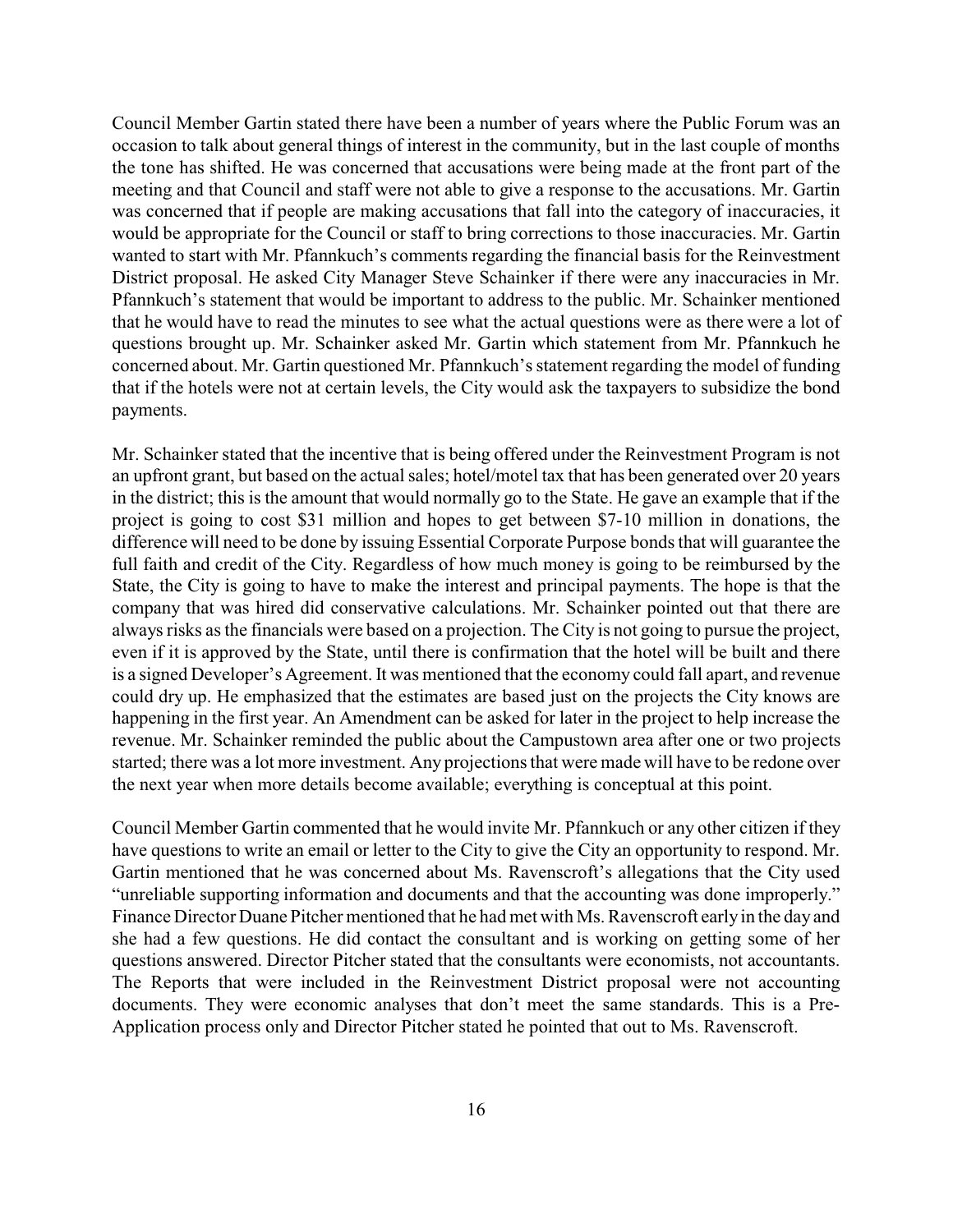Council Member Gartin stated there have been a number of years where the Public Forum was an occasion to talk about general things of interest in the community, but in the last couple of months the tone has shifted. He was concerned that accusations were being made at the front part of the meeting and that Council and staff were not able to give a response to the accusations. Mr. Gartin was concerned that if people are making accusations that fall into the category of inaccuracies, it would be appropriate for the Council or staff to bring corrections to those inaccuracies. Mr. Gartin wanted to start with Mr. Pfannkuch's comments regarding the financial basis for the Reinvestment District proposal. He asked City Manager Steve Schainker if there were any inaccuracies in Mr. Pfannkuch's statement that would be important to address to the public. Mr. Schainker mentioned that he would have to read the minutes to see what the actual questions were as there were a lot of questions brought up. Mr. Schainker asked Mr. Gartin which statement from Mr. Pfannkuch he concerned about. Mr. Gartin questioned Mr. Pfannkuch's statement regarding the model of funding that if the hotels were not at certain levels, the City would ask the taxpayers to subsidize the bond payments.

Mr. Schainker stated that the incentive that is being offered under the Reinvestment Program is not an upfront grant, but based on the actual sales; hotel/motel tax that has been generated over 20 years in the district; this is the amount that would normally go to the State. He gave an example that if the project is going to cost \$31 million and hopes to get between \$7-10 million in donations, the difference will need to be done by issuing Essential Corporate Purpose bonds that will guarantee the full faith and credit of the City. Regardless of how much money is going to be reimbursed by the State, the City is going to have to make the interest and principal payments. The hope is that the company that was hired did conservative calculations. Mr. Schainker pointed out that there are always risks as the financials were based on a projection. The City is not going to pursue the project, even if it is approved by the State, until there is confirmation that the hotel will be built and there is a signed Developer's Agreement. It was mentioned that the economy could fall apart, and revenue could dry up. He emphasized that the estimates are based just on the projects the City knows are happening in the first year. An Amendment can be asked for later in the project to help increase the revenue. Mr. Schainker reminded the public about the Campustown area after one or two projects started; there was a lot more investment. Any projections that were made will have to be redone over the next year when more details become available; everything is conceptual at this point.

Council Member Gartin commented that he would invite Mr. Pfannkuch or any other citizen if they have questions to write an email or letter to the City to give the City an opportunity to respond. Mr. Gartin mentioned that he was concerned about Ms. Ravenscroft's allegations that the City used "unreliable supporting information and documents and that the accounting was done improperly." Finance Director Duane Pitcher mentioned that he had met with Ms. Ravenscroft early in the day and she had a few questions. He did contact the consultant and is working on getting some of her questions answered. Director Pitcher stated that the consultants were economists, not accountants. The Reports that were included in the Reinvestment District proposal were not accounting documents. They were economic analyses that don't meet the same standards. This is a Pre-Application process only and Director Pitcher stated he pointed that out to Ms. Ravenscroft.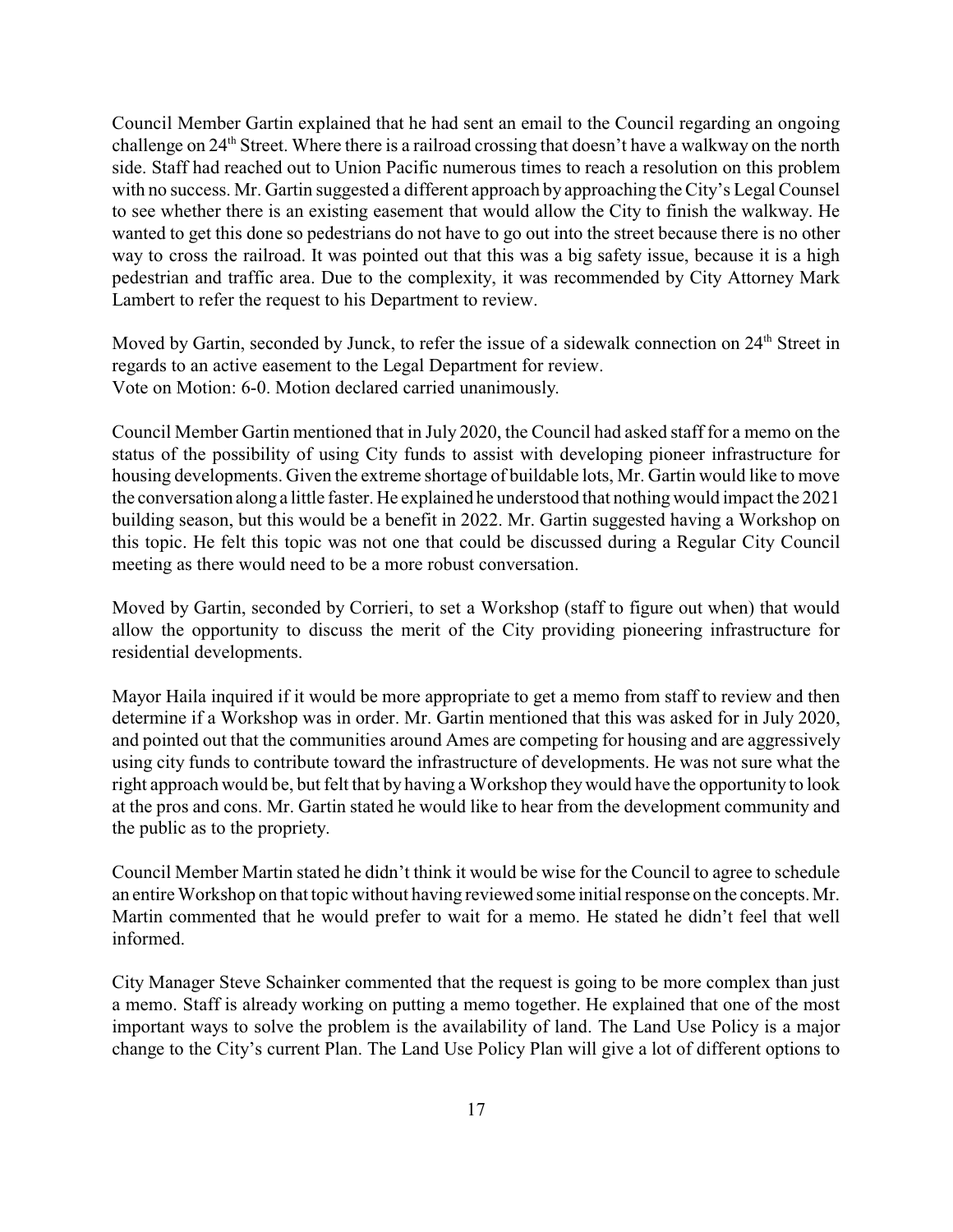Council Member Gartin explained that he had sent an email to the Council regarding an ongoing challenge on 24<sup>th</sup> Street. Where there is a railroad crossing that doesn't have a walkway on the north side. Staff had reached out to Union Pacific numerous times to reach a resolution on this problem with no success. Mr. Gartin suggested a different approach by approaching the City's Legal Counsel to see whether there is an existing easement that would allow the City to finish the walkway. He wanted to get this done so pedestrians do not have to go out into the street because there is no other way to cross the railroad. It was pointed out that this was a big safety issue, because it is a high pedestrian and traffic area. Due to the complexity, it was recommended by City Attorney Mark Lambert to refer the request to his Department to review.

Moved by Gartin, seconded by Junck, to refer the issue of a sidewalk connection on 24<sup>th</sup> Street in regards to an active easement to the Legal Department for review. Vote on Motion: 6-0. Motion declared carried unanimously.

Council Member Gartin mentioned that in July 2020, the Council had asked staff for a memo on the status of the possibility of using City funds to assist with developing pioneer infrastructure for housing developments. Given the extreme shortage of buildable lots, Mr. Gartin would like to move the conversation along a little faster. He explained he understood that nothing would impact the 2021 building season, but this would be a benefit in 2022. Mr. Gartin suggested having a Workshop on this topic. He felt this topic was not one that could be discussed during a Regular City Council meeting as there would need to be a more robust conversation.

Moved by Gartin, seconded by Corrieri, to set a Workshop (staff to figure out when) that would allow the opportunity to discuss the merit of the City providing pioneering infrastructure for residential developments.

Mayor Haila inquired if it would be more appropriate to get a memo from staff to review and then determine if a Workshop was in order. Mr. Gartin mentioned that this was asked for in July 2020, and pointed out that the communities around Ames are competing for housing and are aggressively using city funds to contribute toward the infrastructure of developments. He was not sure what the right approach would be, but felt that by having a Workshop theywould have the opportunity to look at the pros and cons. Mr. Gartin stated he would like to hear from the development community and the public as to the propriety.

Council Member Martin stated he didn't think it would be wise for the Council to agree to schedule an entire Workshop on that topic without having reviewed some initial response on the concepts. Mr. Martin commented that he would prefer to wait for a memo. He stated he didn't feel that well informed.

City Manager Steve Schainker commented that the request is going to be more complex than just a memo. Staff is already working on putting a memo together. He explained that one of the most important ways to solve the problem is the availability of land. The Land Use Policy is a major change to the City's current Plan. The Land Use Policy Plan will give a lot of different options to